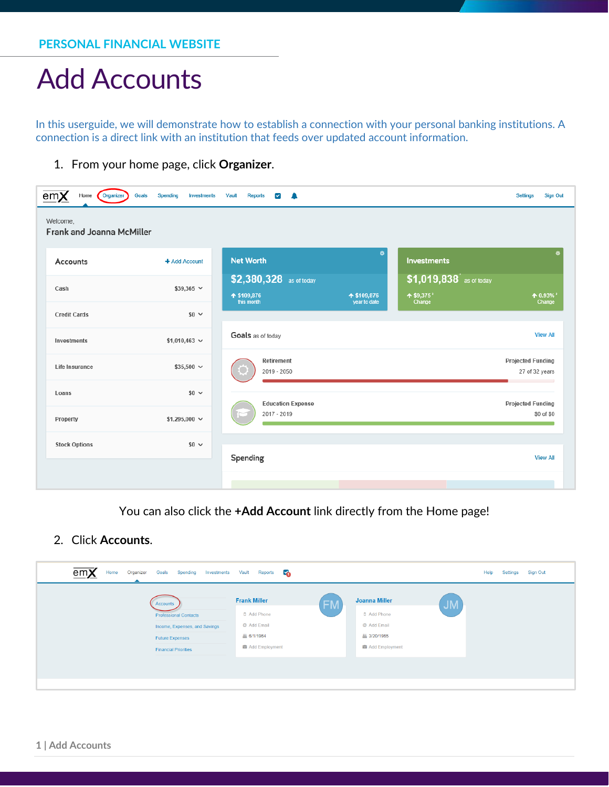In this userguide, we will demonstrate how to establish a connection with your personal banking institutions. A connection is a direct link with an institution that feeds over updated account information.

1. From your home page, click **Organizer**.

| em <b>x</b><br>Home<br>Organizer<br>Welcome, | Goals<br>Spending<br><b>Investments</b> | Vault<br><b>Reports</b><br>☑<br>≞           |                             |                                               | <b>Sign Out</b><br><b>Settings</b>         |
|----------------------------------------------|-----------------------------------------|---------------------------------------------|-----------------------------|-----------------------------------------------|--------------------------------------------|
| Frank and Joanna McMiller<br>Accounts        | + Add Account                           | <b>Net Worth</b><br>\$2,380,328 as of today | ۰                           | <b>Investments</b><br>\$1,019,838 as of today |                                            |
| Cash<br><b>Credit Cards</b>                  | $$39,365$ $\vee$<br>$$0 \sim$           | ↑ \$109,876<br>this month                   | ↑ \$109,876<br>year to date | $\textbf{+}$ \$9,375<br>Change                | $A$ 0.93% $^{\circ}$<br>Change             |
| Investments                                  | $$1,010,463$ ~                          | Goals as of today                           |                             |                                               | <b>View All</b>                            |
| Life Insurance                               | $$35,500 \sim$                          | Retirement<br>2019 - 2050                   |                             |                                               | <b>Projected Funding</b><br>27 of 32 years |
| Loans                                        | $$0 \sim$                               | <b>Education Expense</b>                    |                             |                                               | <b>Projected Funding</b>                   |
| Property                                     | \$1,295,000 $\sim$                      | 2017 - 2019                                 |                             |                                               | \$0 of \$0                                 |
| <b>Stock Options</b>                         | $$0 \sim$                               | Spending                                    |                             |                                               | <b>View All</b>                            |
|                                              |                                         |                                             |                             |                                               |                                            |

You can also click the **+Add Account** link directly from the Home page!

2. Click **Accounts**.

| em <b>X</b><br>Home<br>Organizer<br>Goals<br>Spending                                                                              | c.<br>Investments Vault<br>Reports                                                             |                                                                                     | Help<br>Settings<br>Sign Out |
|------------------------------------------------------------------------------------------------------------------------------------|------------------------------------------------------------------------------------------------|-------------------------------------------------------------------------------------|------------------------------|
| Accounts<br><b>Professional Contacts</b><br>Income, Expenses, and Savings<br><b>Future Expenses</b><br><b>Financial Priorities</b> | <b>Frank Miller</b><br><b>FM</b><br>D Add Phone<br>@ Add Email<br>丛 6/1/1964<br>Add Employment | <b>Joanna Miller</b><br>D Add Phone<br>@ Add Email<br>丛 3/20/1965<br>Add Employment | <b>JM</b>                    |
|                                                                                                                                    |                                                                                                |                                                                                     |                              |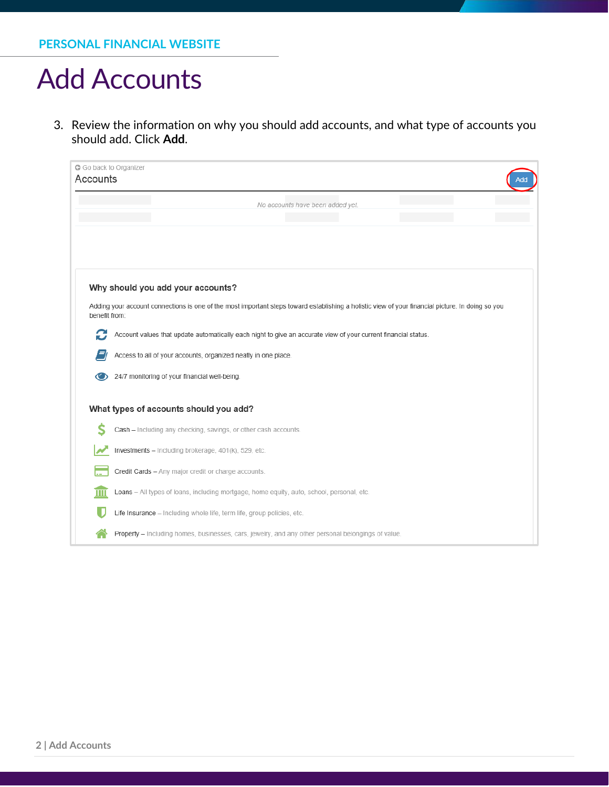3. Review the information on why you should add accounts, and what type of accounts you should add. Click **Add**.

| G Go back to Organizer<br>Accounts | Add                                                                                                                                               |
|------------------------------------|---------------------------------------------------------------------------------------------------------------------------------------------------|
|                                    | No accounts have been added yet.                                                                                                                  |
|                                    |                                                                                                                                                   |
|                                    |                                                                                                                                                   |
|                                    |                                                                                                                                                   |
|                                    | Why should you add your accounts?                                                                                                                 |
| benefit from:                      | Adding your account connections is one of the most important steps toward establishing a holistic view of your financial picture. In doing so you |
| C                                  | Account values that update automatically each night to give an accurate view of your current financial status.                                    |
|                                    | Access to all of your accounts, organized neatly in one place.                                                                                    |
|                                    | 24/7 monitoring of your financial well-being.                                                                                                     |
|                                    | What types of accounts should you add?                                                                                                            |
|                                    | Cash - Including any checking, savings, or other cash accounts.                                                                                   |
|                                    | Investments - Including brokerage, 401(k), 529, etc.                                                                                              |
|                                    | Credit Cards - Any major credit or charge accounts.                                                                                               |
| Ш                                  | Loans - All types of loans, including mortgage, home equity, auto, school, personal, etc.                                                         |
|                                    | Life Insurance - Including whole life, term life, group policies, etc.                                                                            |
|                                    | Property - Including homes, businesses, cars, jewelry, and any other personal belongings of value.                                                |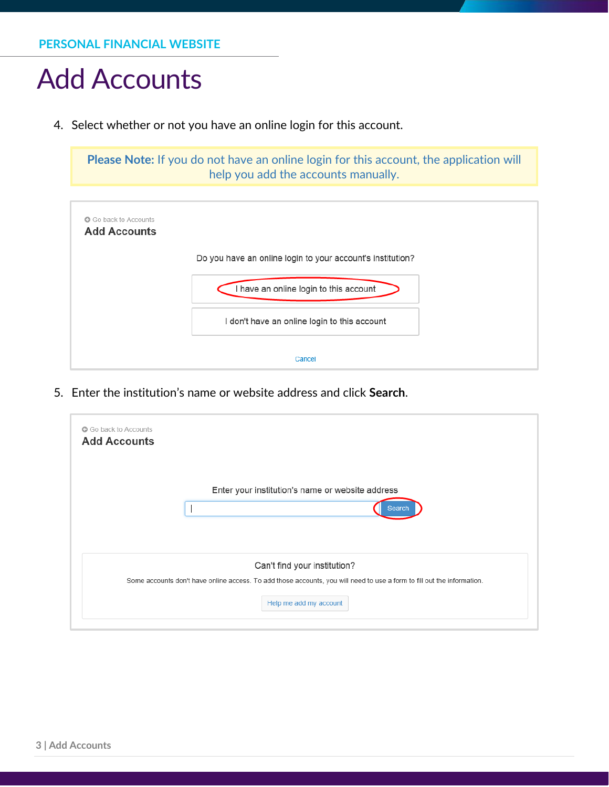4. Select whether or not you have an online login for this account.

**Please Note:** If you do not have an online login for this account, the application will help you add the accounts manually.



5. Enter the institution's name or website address and click **Search**.

| Enter your institution's name or website address                                                                        |
|-------------------------------------------------------------------------------------------------------------------------|
| Search                                                                                                                  |
|                                                                                                                         |
| Can't find your institution?                                                                                            |
| Some accounts don't have online access. To add those accounts, you will need to use a form to fill out the information. |
| Help me add my account                                                                                                  |
|                                                                                                                         |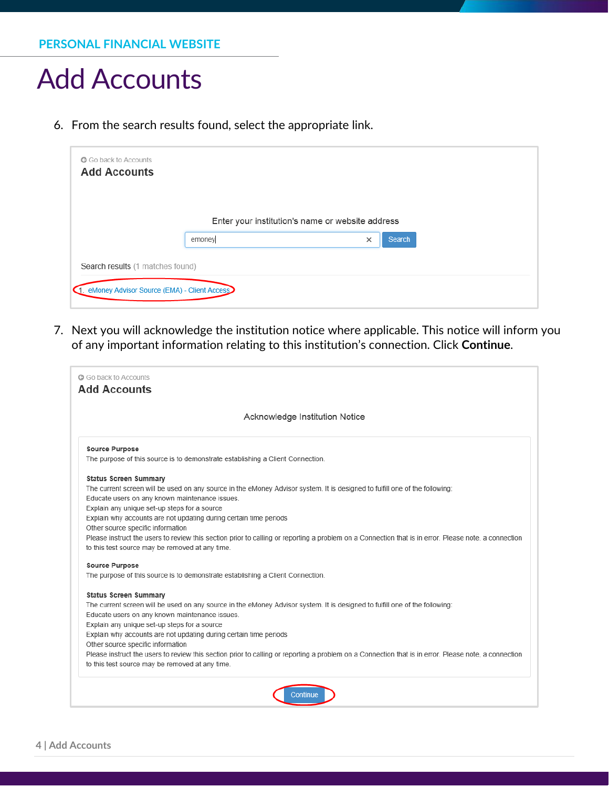6. From the search results found, select the appropriate link.

| <b>G</b> Go back to Accounts                   |        |                                                  |        |
|------------------------------------------------|--------|--------------------------------------------------|--------|
| <b>Add Accounts</b>                            |        |                                                  |        |
|                                                |        |                                                  |        |
|                                                |        |                                                  |        |
|                                                |        | Enter your institution's name or website address |        |
|                                                | emoney | $\times$                                         | Search |
|                                                |        |                                                  |        |
| Search results (1 matches found)               |        |                                                  |        |
| 1. eMoney Advisor Source (EMA) - Client Access |        |                                                  |        |
|                                                |        |                                                  |        |

7. Next you will acknowledge the institution notice where applicable. This notice will inform you of any important information relating to this institution's connection. Click **Continue**.

| Acknowledge Institution Notice                                                                                                                       |
|------------------------------------------------------------------------------------------------------------------------------------------------------|
| <b>Source Purpose</b>                                                                                                                                |
| The purpose of this source is to demonstrate establishing a Client Connection.                                                                       |
| <b>Status Screen Summary</b>                                                                                                                         |
| The current screen will be used on any source in the eMoney Advisor system. It is designed to fulfill one of the following:                          |
| Educate users on any known maintenance issues.                                                                                                       |
| Explain any unique set-up steps for a source                                                                                                         |
| Explain why accounts are not updating during certain time periods                                                                                    |
| Other source specific information                                                                                                                    |
| Please instruct the users to review this section prior to calling or reporting a problem on a Connection that is in error. Please note, a connection |
| to this test source may be removed at any time.                                                                                                      |
| <b>Source Purpose</b>                                                                                                                                |
| The purpose of this source is to demonstrate establishing a Client Connection.                                                                       |
| <b>Status Screen Summary</b>                                                                                                                         |
| The current screen will be used on any source in the eMoney Advisor system. It is designed to fulfill one of the following:                          |
| Educate users on any known maintenance issues.                                                                                                       |
| Explain any unique set-up steps for a source                                                                                                         |
| Explain why accounts are not updating during certain time periods                                                                                    |
| Other source specific information                                                                                                                    |
| Please instruct the users to review this section prior to calling or reporting a problem on a Connection that is in error. Please note, a connection |
| to this test source may be removed at any time.                                                                                                      |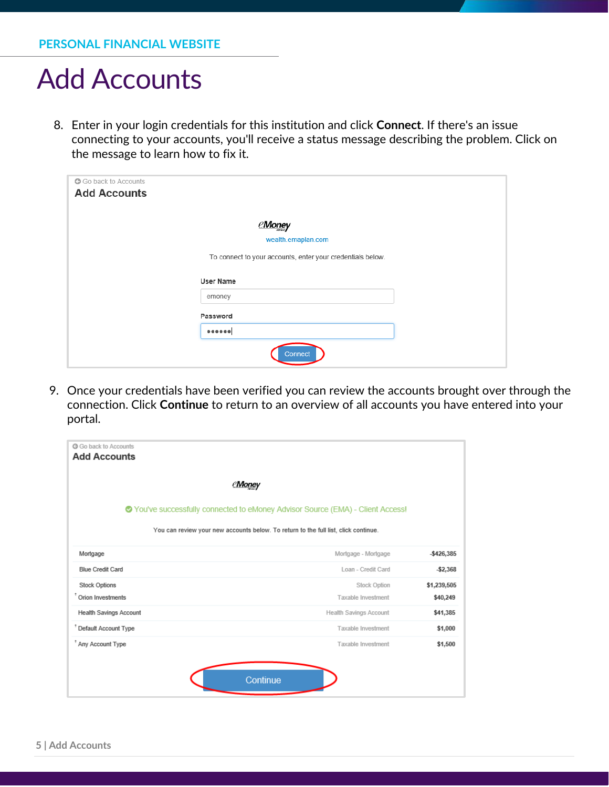8. Enter in your login credentials for this institution and click **Connect**. If there's an issue connecting to your accounts, you'll receive a status message describing the problem. Click on the message to learn how to fix it.

| G Go back to Accounts<br><b>Add Accounts</b> |                                                            |  |
|----------------------------------------------|------------------------------------------------------------|--|
|                                              | eMoney                                                     |  |
|                                              | wealth.emaplan.com                                         |  |
|                                              | To connect to your accounts, enter your credentials below. |  |
|                                              | <b>User Name</b>                                           |  |
|                                              | emoney                                                     |  |
|                                              | Password                                                   |  |
|                                              |                                                            |  |
|                                              | Connect                                                    |  |

9. Once your credentials have been verified you can review the accounts brought over through the connection. Click **Continue** to return to an overview of all accounts you have entered into your portal.

| <b>C</b> Go back to Accounts<br><b>Add Accounts</b>                                 |                        |               |
|-------------------------------------------------------------------------------------|------------------------|---------------|
| <b>Money</b>                                                                        |                        |               |
| ● You've successfully connected to eMoney Advisor Source (EMA) - Client Access!     |                        |               |
| You can review your new accounts below. To return to the full list, click continue. |                        |               |
| Mortgage                                                                            | Mortgage - Mortgage    | $-$ \$426,385 |
| <b>Blue Credit Card</b>                                                             | Loan - Credit Card     | $-$2,368$     |
| <b>Stock Options</b>                                                                | <b>Stock Option</b>    | \$1,239,505   |
| <sup>+</sup> Orion Investments                                                      | Taxable Investment     | \$40,249      |
| Health Savings Account                                                              | Health Savings Account | \$41,385      |
| <sup>†</sup> Default Account Type                                                   | Taxable Investment     | \$1,000       |
| <sup>+</sup> Any Account Type                                                       | Taxable Investment     | \$1,500       |
| Continue                                                                            |                        |               |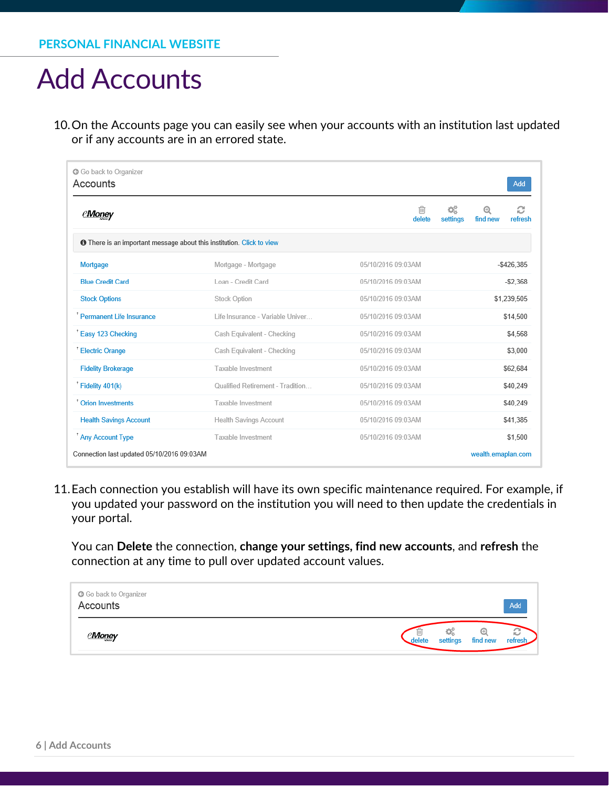10.On the Accounts page you can easily see when your accounts with an institution last updated or if any accounts are in an errored state.

| G Go back to Organizer<br>Accounts                                           |                                  |                                | Add                           |
|------------------------------------------------------------------------------|----------------------------------|--------------------------------|-------------------------------|
| <b><i>eMoney</i></b>                                                         |                                  | ¢Ë,<br>⋒<br>delete<br>settings | c<br>⊕<br>find new<br>refresh |
| <b>O</b> There is an important message about this institution. Click to view |                                  |                                |                               |
| Mortgage                                                                     | Mortgage - Mortgage              | 05/10/2016 09:03AM             | $-$426,385$                   |
| <b>Blue Credit Card</b>                                                      | Loan - Credit Card               | 05/10/2016 09:03AM             | $-52.368$                     |
| <b>Stock Options</b>                                                         | Stock Option                     | 05/10/2016 09:03AM             | \$1,239,505                   |
| <sup>†</sup> Permanent Life Insurance                                        | Life Insurance - Variable Univer | 05/10/2016 09:03AM             | \$14,500                      |
| Easy 123 Checking                                                            | Cash Equivalent - Checking       | 05/10/2016 09:03AM             | \$4,568                       |
| <sup>t</sup> Electric Orange                                                 | Cash Equivalent - Checking       | 05/10/2016 09:03AM             | \$3,000                       |
| <b>Fidelity Brokerage</b>                                                    | Taxable Investment               | 05/10/2016 09:03AM             | \$62,684                      |
| Fidelity 401(k)                                                              | Qualified Retirement - Tradition | 05/10/2016 09:03AM             | \$40,249                      |
| <sup>t</sup> Orion Investments                                               | Taxable Investment               | 05/10/2016 09:03AM             | \$40,249                      |
| <b>Health Savings Account</b>                                                | Health Savings Account           | 05/10/2016 09:03AM             | \$41,385                      |
| Any Account Type                                                             | Taxable Investment               | 05/10/2016 09:03AM             | \$1,500                       |
| Connection last updated 05/10/2016 09:03AM                                   |                                  |                                | wealth.emaplan.com            |

11.Each connection you establish will have its own specific maintenance required. For example, if you updated your password on the institution you will need to then update the credentials in your portal.

You can **Delete** the connection, **change your settings, find new accounts**, and **refresh** the connection at any time to pull over updated account values.

| G Go back to Organizer<br>Accounts | Add                                                       |
|------------------------------------|-----------------------------------------------------------|
| <u>eMone</u> y                     | ¢Ç<br>Θ<br>Ο<br>refresh<br>settings<br>find new<br>delete |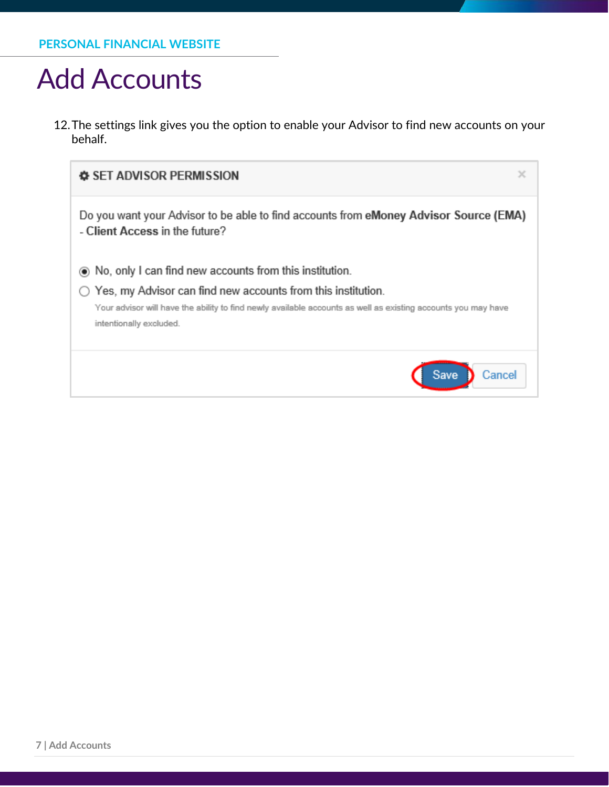12.The settings link gives you the option to enable your Advisor to find new accounts on your behalf.

| x<br><b>♦ SET ADVISOR PERMISSION</b>                                                                                                                                                                                                                                             |
|----------------------------------------------------------------------------------------------------------------------------------------------------------------------------------------------------------------------------------------------------------------------------------|
| Do you want your Advisor to be able to find accounts from eMoney Advisor Source (EMA)<br>- Client Access in the future?                                                                                                                                                          |
| • No, only I can find new accounts from this institution.<br>$\bigcirc$ Yes, my Advisor can find new accounts from this institution.<br>Your advisor will have the ability to find newly available accounts as well as existing accounts you may have<br>intentionally excluded. |
| <b>Save</b><br>Cancel                                                                                                                                                                                                                                                            |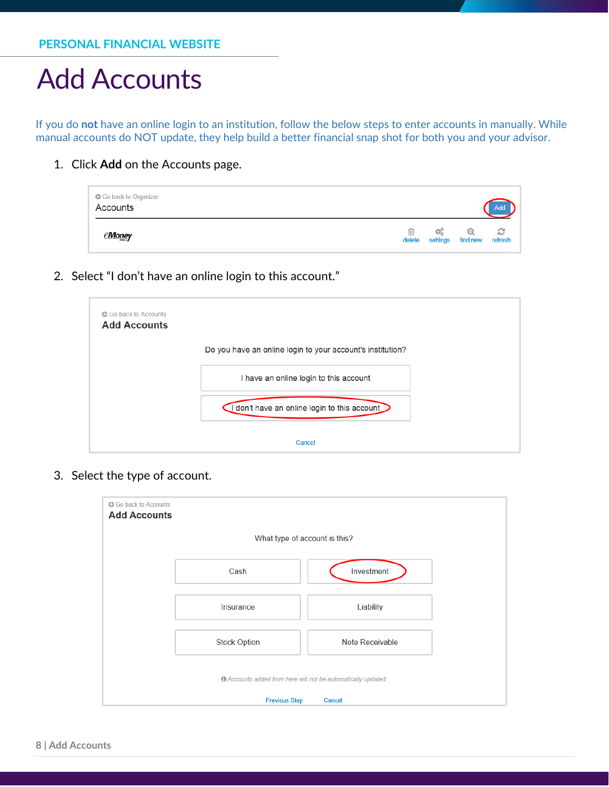If you do **not** have an online login to an institution, follow the below steps to enter accounts in manually. While manual accounts do NOT update, they help build a better financial snap shot for both you and your advisor.

1. Click **Add** on the Accounts page.

| G Go back to Organizer<br>Accounts |  |                                                    | Add |
|------------------------------------|--|----------------------------------------------------|-----|
| <u>eMoney</u>                      |  | <b>画 の 色 の</b><br>delete settings find new refresh |     |

2. Select "I don't have an online login to this account."

| <b>G</b> Go back to Accounts<br><b>Add Accounts</b> |                                                            |
|-----------------------------------------------------|------------------------------------------------------------|
|                                                     | Do you have an online login to your account's institution? |
|                                                     | I have an online login to this account                     |
|                                                     | don't have an online login to this account                 |
|                                                     | Cancel                                                     |

3. Select the type of account.

| G Go back to Accounts<br><b>Add Accounts</b>                             |              |                 |  |  |
|--------------------------------------------------------------------------|--------------|-----------------|--|--|
| What type of account is this?                                            |              |                 |  |  |
|                                                                          | Cash         | Investment      |  |  |
|                                                                          | Insurance    | Liability       |  |  |
|                                                                          | Stock Option | Note Receivable |  |  |
| <sup>6</sup> Accounts added from here will not be automatically updated. |              |                 |  |  |
| <b>Previous Step</b><br>Cancel                                           |              |                 |  |  |